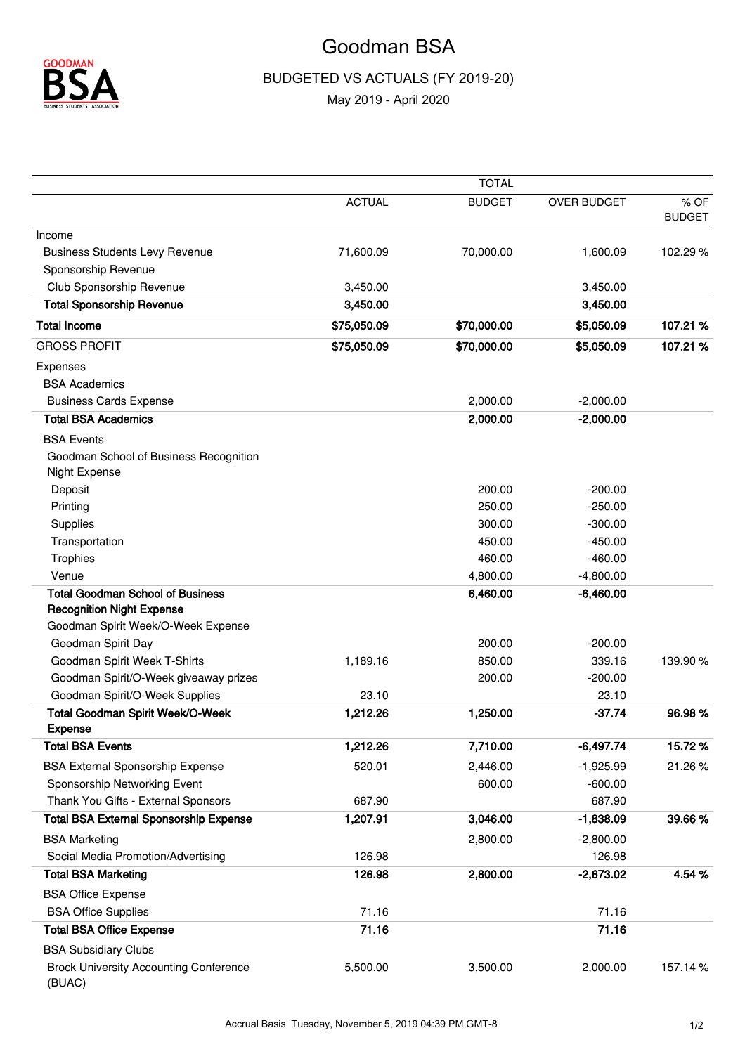## Goodman BSA



## BUDGETED VS ACTUALS (FY 2019-20)

May 2019 - April 2020

|                                                           |               | <b>TOTAL</b>  |                    |                       |  |
|-----------------------------------------------------------|---------------|---------------|--------------------|-----------------------|--|
|                                                           | <b>ACTUAL</b> | <b>BUDGET</b> | <b>OVER BUDGET</b> | % OF<br><b>BUDGET</b> |  |
| Income                                                    |               |               |                    |                       |  |
| <b>Business Students Levy Revenue</b>                     | 71,600.09     | 70,000.00     | 1,600.09           | 102.29 %              |  |
| Sponsorship Revenue                                       |               |               |                    |                       |  |
| Club Sponsorship Revenue                                  | 3,450.00      |               | 3,450.00           |                       |  |
| <b>Total Sponsorship Revenue</b>                          | 3,450.00      |               | 3,450.00           |                       |  |
| <b>Total Income</b>                                       | \$75,050.09   | \$70,000.00   | \$5,050.09         | 107.21 %              |  |
| <b>GROSS PROFIT</b>                                       | \$75,050.09   | \$70,000.00   | \$5,050.09         | 107.21 %              |  |
| Expenses                                                  |               |               |                    |                       |  |
| <b>BSA Academics</b>                                      |               |               |                    |                       |  |
| <b>Business Cards Expense</b>                             |               | 2,000.00      | $-2,000.00$        |                       |  |
| <b>Total BSA Academics</b>                                |               | 2,000.00      | $-2,000.00$        |                       |  |
| <b>BSA Events</b>                                         |               |               |                    |                       |  |
| Goodman School of Business Recognition                    |               |               |                    |                       |  |
| <b>Night Expense</b>                                      |               |               |                    |                       |  |
| Deposit                                                   |               | 200.00        | $-200.00$          |                       |  |
| Printing                                                  |               | 250.00        | $-250.00$          |                       |  |
| Supplies                                                  |               | 300.00        | $-300.00$          |                       |  |
| Transportation                                            |               | 450.00        | $-450.00$          |                       |  |
| Trophies                                                  |               | 460.00        | $-460.00$          |                       |  |
| Venue                                                     |               | 4,800.00      | $-4,800.00$        |                       |  |
| <b>Total Goodman School of Business</b>                   |               | 6,460.00      | $-6,460.00$        |                       |  |
| <b>Recognition Night Expense</b>                          |               |               |                    |                       |  |
| Goodman Spirit Week/O-Week Expense                        |               |               |                    |                       |  |
| Goodman Spirit Day                                        |               | 200.00        | $-200.00$          |                       |  |
| Goodman Spirit Week T-Shirts                              | 1,189.16      | 850.00        | 339.16             | 139.90%               |  |
| Goodman Spirit/O-Week giveaway prizes                     |               | 200.00        | $-200.00$          |                       |  |
| Goodman Spirit/O-Week Supplies                            | 23.10         |               | 23.10              |                       |  |
| <b>Total Goodman Spirit Week/O-Week</b><br><b>Expense</b> | 1,212.26      | 1,250.00      | $-37.74$           | 96.98%                |  |
| <b>Total BSA Events</b>                                   | 1,212.26      | 7,710.00      | $-6,497.74$        | 15.72%                |  |
| <b>BSA External Sponsorship Expense</b>                   | 520.01        | 2,446.00      | $-1,925.99$        | 21.26%                |  |
| Sponsorship Networking Event                              |               | 600.00        | $-600.00$          |                       |  |
| Thank You Gifts - External Sponsors                       | 687.90        |               | 687.90             |                       |  |
| <b>Total BSA External Sponsorship Expense</b>             | 1,207.91      | 3,046.00      | $-1,838.09$        | 39.66%                |  |
| <b>BSA Marketing</b>                                      |               | 2,800.00      | $-2,800.00$        |                       |  |
| Social Media Promotion/Advertising                        | 126.98        |               | 126.98             |                       |  |
| <b>Total BSA Marketing</b>                                | 126.98        | 2,800.00      | $-2,673.02$        | 4.54%                 |  |
| <b>BSA Office Expense</b>                                 |               |               |                    |                       |  |
| <b>BSA Office Supplies</b>                                | 71.16         |               | 71.16              |                       |  |
| <b>Total BSA Office Expense</b>                           | 71.16         |               | 71.16              |                       |  |
| <b>BSA Subsidiary Clubs</b>                               |               |               |                    |                       |  |
| <b>Brock University Accounting Conference</b><br>(BUAC)   | 5,500.00      | 3,500.00      | 2,000.00           | 157.14 %              |  |